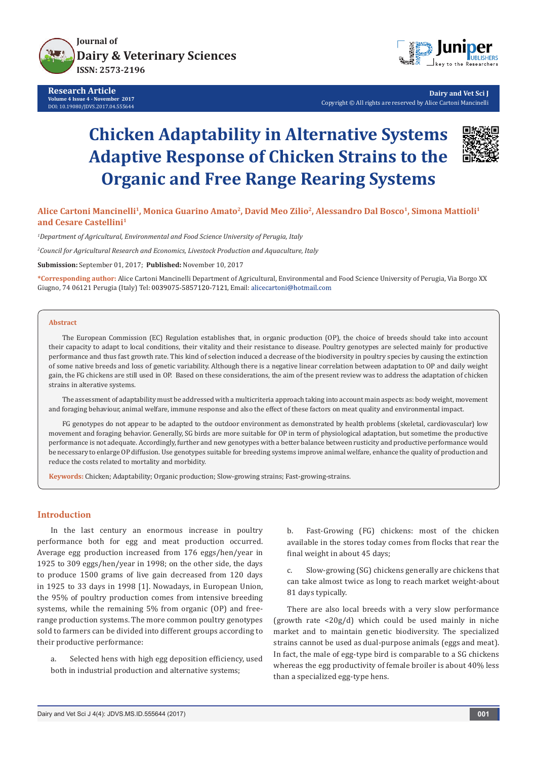

**Research Article Volume 4 Issue 4 - November 2017** DOI: [10.19080/JDVS.2017.04.555644](http://dx.doi.org/10.19080/JDVS.2017.04.555644)



**Dairy and Vet Sci J** Copyright © All rights are reserved by Alice Cartoni Mancinelli

# **Chicken Adaptability in Alternative Systems Adaptive Response of Chicken Strains to the Organic and Free Range Rearing Systems**



**Alice Cartoni Mancinelli1, Monica Guarino Amato2, David Meo Zilio2, Alessandro Dal Bosco1, Simona Mattioli1 and Cesare Castellini1**

*1 Department of Agricultural, Environmental and Food Science University of Perugia, Italy*

*2 Council for Agricultural Research and Economics, Livestock Production and Aquaculture, Italy*

**Submission:** September 01, 2017; **Published:** November 10, 2017

**\*Corresponding author:** Alice Cartoni Mancinelli Department of Agricultural, Environmental and Food Science University of Perugia, Via Borgo XX Giugno, 74 06121 Perugia (Italy) Tel: 0039075-5857120-7121, Email: alicecartoni@hotmail.com

#### **Abstract**

The European Commission (EC) Regulation establishes that, in organic production (OP), the choice of breeds should take into account their capacity to adapt to local conditions, their vitality and their resistance to disease. Poultry genotypes are selected mainly for productive performance and thus fast growth rate. This kind of selection induced a decrease of the biodiversity in poultry species by causing the extinction of some native breeds and loss of genetic variability. Although there is a negative linear correlation between adaptation to OP and daily weight gain, the FG chickens are still used in OP. Based on these considerations, the aim of the present review was to address the adaptation of chicken strains in alterative systems.

The assessment of adaptability must be addressed with a multicriteria approach taking into account main aspects as: body weight, movement and foraging behaviour, animal welfare, immune response and also the effect of these factors on meat quality and environmental impact.

FG genotypes do not appear to be adapted to the outdoor environment as demonstrated by health problems (skeletal, cardiovascular) low movement and foraging behavior. Generally, SG birds are more suitable for OP in term of physiological adaptation, but sometime the productive performance is not adequate. Accordingly, further and new genotypes with a better balance between rusticity and productive performance would be necessary to enlarge OP diffusion. Use genotypes suitable for breeding systems improve animal welfare, enhance the quality of production and reduce the costs related to mortality and morbidity.

**Keywords:** Chicken; Adaptability; Organic production; Slow-growing strains; Fast-growing-strains.

# **Introduction**

In the last century an enormous increase in poultry performance both for egg and meat production occurred. Average egg production increased from 176 eggs/hen/year in 1925 to 309 eggs/hen/year in 1998; on the other side, the days to produce 1500 grams of live gain decreased from 120 days in 1925 to 33 days in 1998 [1]. Nowadays, in European Union, the 95% of poultry production comes from intensive breeding systems, while the remaining 5% from organic (OP) and freerange production systems. The more common poultry genotypes sold to farmers can be divided into different groups according to their productive performance:

a. Selected hens with high egg deposition efficiency, used both in industrial production and alternative systems;

b. Fast-Growing (FG) chickens: most of the chicken available in the stores today comes from flocks that rear the final weight in about 45 days;

c. Slow-growing (SG) chickens generally are chickens that can take almost twice as long to reach market weight-about 81 days typically.

There are also local breeds with a very slow performance (growth rate  $\langle 20g/d \rangle$  which could be used mainly in niche market and to maintain genetic biodiversity. The specialized strains cannot be used as dual-purpose animals (eggs and meat). In fact, the male of egg-type bird is comparable to a SG chickens whereas the egg productivity of female broiler is about 40% less than a specialized egg-type hens.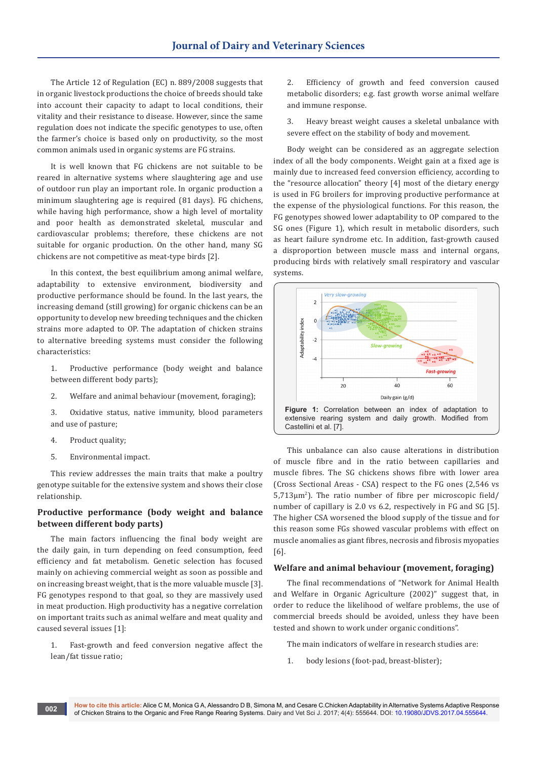The Article 12 of Regulation (EC) n. 889/2008 suggests that in organic livestock productions the choice of breeds should take into account their capacity to adapt to local conditions, their vitality and their resistance to disease. However, since the same regulation does not indicate the specific genotypes to use, often the farmer's choice is based only on productivity, so the most common animals used in organic systems are FG strains.

It is well known that FG chickens are not suitable to be reared in alternative systems where slaughtering age and use of outdoor run play an important role. In organic production a minimum slaughtering age is required (81 days). FG chichens, while having high performance, show a high level of mortality and poor health as demonstrated skeletal, muscular and cardiovascular problems; therefore, these chickens are not suitable for organic production. On the other hand, many SG chickens are not competitive as meat-type birds [2].

In this context, the best equilibrium among animal welfare, adaptability to extensive environment, biodiversity and productive performance should be found. In the last years, the increasing demand (still growing) for organic chickens can be an opportunity to develop new breeding techniques and the chicken strains more adapted to OP. The adaptation of chicken strains to alternative breeding systems must consider the following characteristics:

- 1. Productive performance (body weight and balance between different body parts);
- 2. Welfare and animal behaviour (movement, foraging);

3. Oxidative status, native immunity, blood parameters and use of pasture;

- 4. Product quality;
- 5. Environmental impact.

This review addresses the main traits that make a poultry genotype suitable for the extensive system and shows their close relationship.

# **Productive performance (body weight and balance between different body parts)**

The main factors influencing the final body weight are the daily gain, in turn depending on feed consumption, feed efficiency and fat metabolism. Genetic selection has focused mainly on achieving commercial weight as soon as possible and on increasing breast weight, that is the more valuable muscle [3]. FG genotypes respond to that goal, so they are massively used in meat production. High productivity has a negative correlation on important traits such as animal welfare and meat quality and caused several issues [1]:

1. Fast-growth and feed conversion negative affect the lean/fat tissue ratio;

2. Efficiency of growth and feed conversion caused metabolic disorders; e.g. fast growth worse animal welfare and immune response.

3. Heavy breast weight causes a skeletal unbalance with severe effect on the stability of body and movement.

Body weight can be considered as an aggregate selection index of all the body components. Weight gain at a fixed age is mainly due to increased feed conversion efficiency, according to the "resource allocation" theory [4] most of the dietary energy is used in FG broilers for improving productive performance at the expense of the physiological functions. For this reason, the FG genotypes showed lower adaptability to OP compared to the SG ones (Figure 1), which result in metabolic disorders, such as heart failure syndrome etc. In addition, fast-growth caused a disproportion between muscle mass and internal organs, producing birds with relatively small respiratory and vascular systems.



This unbalance can also cause alterations in distribution of muscle fibre and in the ratio between capillaries and muscle fibres. The SG chickens shows fibre with lower area (Cross Sectional Areas - CSA) respect to the FG ones (2,546 vs 5,713µm<sup>2</sup> ). The ratio number of fibre per microscopic field/ number of capillary is 2.0 vs 6.2, respectively in FG and SG [5]. The higher CSA worsened the blood supply of the tissue and for this reason some FGs showed vascular problems with effect on muscle anomalies as giant fibres, necrosis and fibrosis myopaties [6].

## **Welfare and animal behaviour (movement, foraging)**

The final recommendations of "Network for Animal Health and Welfare in Organic Agriculture (2002)" suggest that, in order to reduce the likelihood of welfare problems, the use of commercial breeds should be avoided, unless they have been tested and shown to work under organic conditions".

The main indicators of welfare in research studies are:

1. body lesions (foot-pad, breast-blister);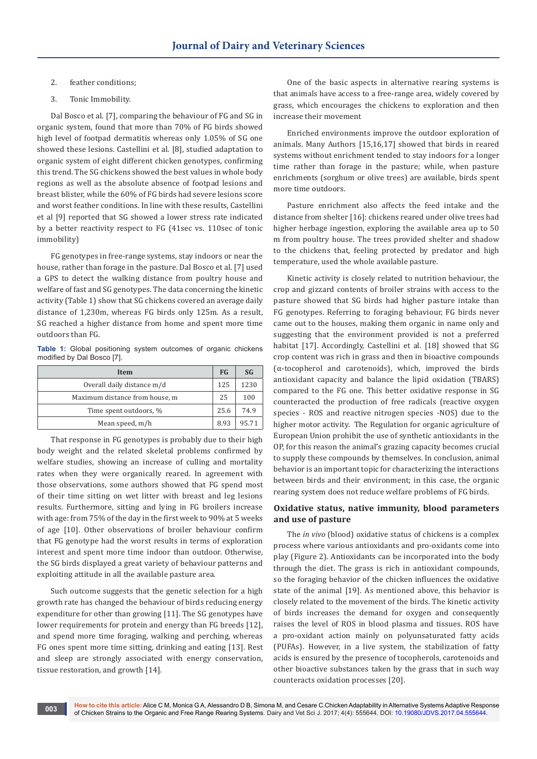## 2. feather conditions;

## 3. Tonic Immobility.

Dal Bosco et al. [7], comparing the behaviour of FG and SG in organic system, found that more than 70% of FG birds showed high level of footpad dermatitis whereas only 1.05% of SG one showed these lesions. Castellini et al. [8], studied adaptation to organic system of eight different chicken genotypes, confirming this trend. The SG chickens showed the best values in whole body regions as well as the absolute absence of footpad lesions and breast blister, while the 60% of FG birds had severe lesions score and worst feather conditions. In line with these results, Castellini et al [9] reported that SG showed a lower stress rate indicated by a better reactivity respect to FG (41sec vs. 110sec of tonic immobility)

FG genotypes in free-range systems, stay indoors or near the house, rather than forage in the pasture. Dal Bosco et al. [7] used a GPS to detect the walking distance from poultry house and welfare of fast and SG genotypes. The data concerning the kinetic activity (Table 1) show that SG chickens covered an average daily distance of 1,230m, whereas FG birds only 125m. As a result, SG reached a higher distance from home and spent more time outdoors than FG.

**Table 1:** Global positioning system outcomes of organic chickens modified by Dal Bosco [7].

| Item                           | <b>FG</b> | <b>SG</b> |
|--------------------------------|-----------|-----------|
| Overall daily distance m/d     | 125       | 1230      |
| Maximum distance from house, m | 25        | 100       |
| Time spent outdoors, %         | 25.6      | 74.9      |
| Mean speed, m/h                | 8.93      | 95.71     |

That response in FG genotypes is probably due to their high body weight and the related skeletal problems confirmed by welfare studies, showing an increase of culling and mortality rates when they were organically reared. In agreement with those observations, some authors showed that FG spend most of their time sitting on wet litter with breast and leg lesions results. Furthermore, sitting and lying in FG broilers increase with age: from 75% of the day in the first week to 90% at 5 weeks of age [10]. Other observations of broiler behaviour confirm that FG genotype had the worst results in terms of exploration interest and spent more time indoor than outdoor. Otherwise, the SG birds displayed a great variety of behaviour patterns and exploiting attitude in all the available pasture area.

Such outcome suggests that the genetic selection for a high growth rate has changed the behaviour of birds reducing energy expenditure for other than growing [11]. The SG genotypes have lower requirements for protein and energy than FG breeds [12], and spend more time foraging, walking and perching, whereas FG ones spent more time sitting, drinking and eating [13]. Rest and sleep are strongly associated with energy conservation, tissue restoration, and growth [14].

One of the basic aspects in alternative rearing systems is that animals have access to a free-range area, widely covered by grass, which encourages the chickens to exploration and then increase their movement

Enriched environments improve the outdoor exploration of animals. Many Authors [15,16,17] showed that birds in reared systems without enrichment tended to stay indoors for a longer time rather than forage in the pasture; while, when pasture enrichments (sorghum or olive trees) are available, birds spent more time outdoors.

Pasture enrichment also affects the feed intake and the distance from shelter [16]: chickens reared under olive trees had higher herbage ingestion, exploring the available area up to 50 m from poultry house. The trees provided shelter and shadow to the chickens that, feeling protected by predator and high temperature, used the whole available pasture.

Kinetic activity is closely related to nutrition behaviour, the crop and gizzard contents of broiler strains with access to the pasture showed that SG birds had higher pasture intake than FG genotypes. Referring to foraging behaviour, FG birds never came out to the houses, making them organic in name only and suggesting that the environment provided is not a preferred habitat [17]. Accordingly, Castellini et al. [18] showed that SG crop content was rich in grass and then in bioactive compounds (α-tocopherol and carotenoids), which, improved the birds antioxidant capacity and balance the lipid oxidation (TBARS) compared to the FG one. This better oxidative response in SG counteracted the production of free radicals (reactive oxygen species - ROS and reactive nitrogen species -NOS) due to the higher motor activity. The Regulation for organic agriculture of European Union prohibit the use of synthetic antioxidants in the OP, for this reason the animal's grazing capacity becomes crucial to supply these compounds by themselves. In conclusion, animal behavior is an important topic for characterizing the interactions between birds and their environment; in this case, the organic rearing system does not reduce welfare problems of FG birds.

# **Oxidative status, native immunity, blood parameters and use of pasture**

The *in vivo* (blood) oxidative status of chickens is a complex process where various antioxidants and pro-oxidants come into play (Figure 2). Antioxidants can be incorporated into the body through the diet. The grass is rich in antioxidant compounds, so the foraging behavior of the chicken influences the oxidative state of the animal [19]. As mentioned above, this behavior is closely related to the movement of the birds. The kinetic activity of birds increases the demand for oxygen and consequently raises the level of ROS in blood plasma and tissues. ROS have a pro-oxidant action mainly on polyunsaturated fatty acids (PUFAs). However, in a live system, the stabilization of fatty acids is ensured by the presence of tocopherols, carotenoids and other bioactive substances taken by the grass that in such way counteracts oxidation processes [20].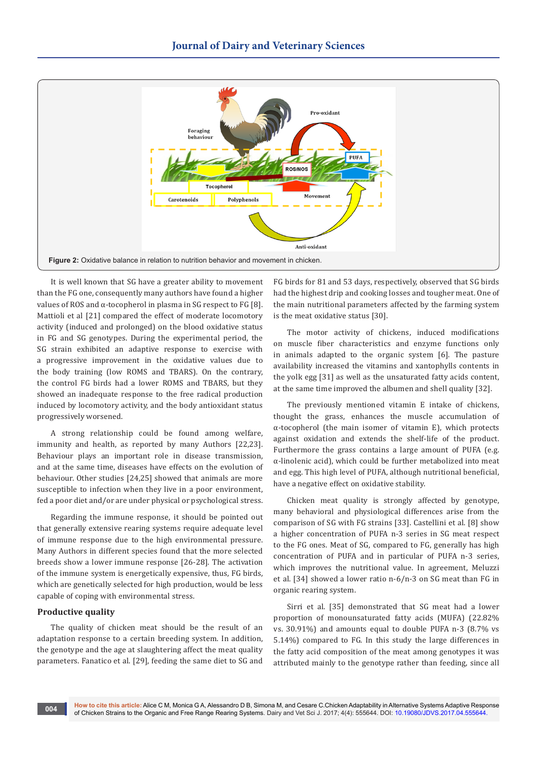

It is well known that SG have a greater ability to movement than the FG one, consequently many authors have found a higher values of ROS and α-tocopherol in plasma in SG respect to FG [8]. Mattioli et al [21] compared the effect of moderate locomotory activity (induced and prolonged) on the blood oxidative status in FG and SG genotypes. During the experimental period, the SG strain exhibited an adaptive response to exercise with a progressive improvement in the oxidative values due to the body training (low ROMS and TBARS). On the contrary, the control FG birds had a lower ROMS and TBARS, but they showed an inadequate response to the free radical production induced by locomotory activity, and the body antioxidant status progressively worsened.

A strong relationship could be found among welfare, immunity and health, as reported by many Authors [22,23]. Behaviour plays an important role in disease transmission, and at the same time, diseases have effects on the evolution of behaviour. Other studies [24,25] showed that animals are more susceptible to infection when they live in a poor environment, fed a poor diet and/or are under physical or psychological stress.

Regarding the immune response, it should be pointed out that generally extensive rearing systems require adequate level of immune response due to the high environmental pressure. Many Authors in different species found that the more selected breeds show a lower immune response [26-28]. The activation of the immune system is energetically expensive, thus, FG birds, which are genetically selected for high production, would be less capable of coping with environmental stress.

## **Productive quality**

The quality of chicken meat should be the result of an adaptation response to a certain breeding system. In addition, the genotype and the age at slaughtering affect the meat quality parameters. Fanatico et al. [29], feeding the same diet to SG and

FG birds for 81 and 53 days, respectively, observed that SG birds had the highest drip and cooking losses and tougher meat. One of the main nutritional parameters affected by the farming system is the meat oxidative status [30].

The motor activity of chickens, induced modifications on muscle fiber characteristics and enzyme functions only in animals adapted to the organic system [6]. The pasture availability increased the vitamins and xantophylls contents in the yolk egg [31] as well as the unsaturated fatty acids content, at the same time improved the albumen and shell quality [32].

The previously mentioned vitamin E intake of chickens, thought the grass, enhances the muscle accumulation of α-tocopherol (the main isomer of vitamin E), which protects against oxidation and extends the shelf-life of the product. Furthermore the grass contains a large amount of PUFA (e.g. α-linolenic acid), which could be further metabolized into meat and egg. This high level of PUFA, although nutritional beneficial, have a negative effect on oxidative stability.

Chicken meat quality is strongly affected by genotype, many behavioral and physiological differences arise from the comparison of SG with FG strains [33]. Castellini et al. [8] show a higher concentration of PUFA n-3 series in SG meat respect to the FG ones. Meat of SG, compared to FG, generally has high concentration of PUFA and in particular of PUFA n-3 series, which improves the nutritional value. In agreement, Meluzzi et al. [34] showed a lower ratio n-6/n-3 on SG meat than FG in organic rearing system.

Sirri et al. [35] demonstrated that SG meat had a lower proportion of monounsaturated fatty acids (MUFA) (22.82% vs. 30.91%) and amounts equal to double PUFA n-3 (8.7% vs 5.14%) compared to FG. In this study the large differences in the fatty acid composition of the meat among genotypes it was attributed mainly to the genotype rather than feeding, since all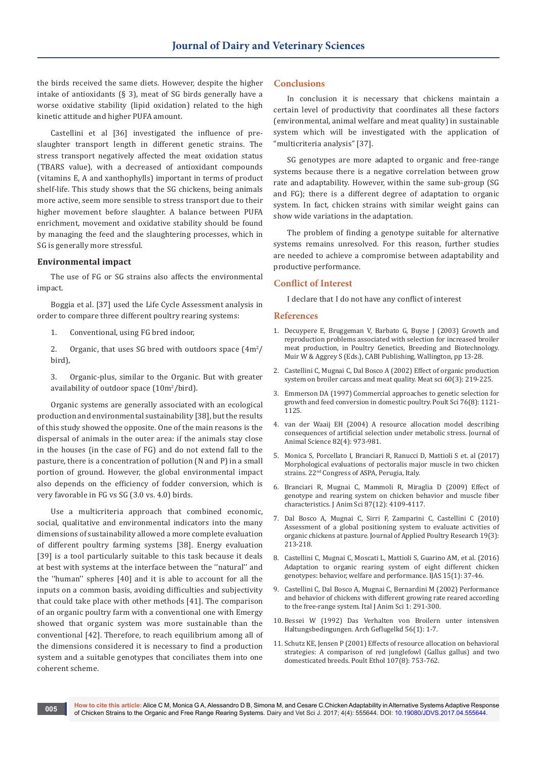the birds received the same diets. However, despite the higher intake of antioxidants ( $\S$  3), meat of SG birds generally have a worse oxidative stability (lipid oxidation) related to the high kinetic attitude and higher PUFA amount.

Castellini et al [36] investigated the influence of preslaughter transport length in different genetic strains. The stress transport negatively affected the meat oxidation status (TBARS value), with a decreased of antioxidant compounds (vitamins E, A and xanthophylls) important in terms of product shelf-life. This study shows that the SG chickens, being animals more active, seem more sensible to stress transport due to their higher movement before slaughter. A balance between PUFA enrichment, movement and oxidative stability should be found by managing the feed and the slaughtering processes, which in SG is generally more stressful.

#### **Environmental impact**

The use of FG or SG strains also affects the environmental impact.

Boggia et al. [37] used the Life Cycle Assessment analysis in order to compare three different poultry rearing systems:

1. Conventional, using FG bred indoor,

2. Organic, that uses SG bred with outdoors space  $(4m^2)$ bird),

3. Organic-plus, similar to the Organic. But with greater availability of outdoor space (10m<sup>2</sup>/bird).

Organic systems are generally associated with an ecological production and environmental sustainability [38], but the results of this study showed the opposite. One of the main reasons is the dispersal of animals in the outer area: if the animals stay close in the houses (in the case of FG) and do not extend fall to the pasture, there is a concentration of pollution (N and P) in a small portion of ground. However, the global environmental impact also depends on the efficiency of fodder conversion, which is very favorable in FG vs SG (3.0 vs. 4.0) birds.

Use a multicriteria approach that combined economic, social, qualitative and environmental indicators into the many dimensions of sustainability allowed a more complete evaluation of different poultry farming systems [38]. Energy evaluation [39] is a tool particularly suitable to this task because it deals at best with systems at the interface between the ''natural'' and the ''human'' spheres [40] and it is able to account for all the inputs on a common basis, avoiding difficulties and subjectivity that could take place with other methods [41]. The comparison of an organic poultry farm with a conventional one with Emergy showed that organic system was more sustainable than the conventional [42]. Therefore, to reach equilibrium among all of the dimensions considered it is necessary to find a production system and a suitable genotypes that conciliates them into one coherent scheme.

## **Conclusions**

In conclusion it is necessary that chickens maintain a certain level of productivity that coordinates all these factors (environmental, animal welfare and meat quality) in sustainable system which will be investigated with the application of "multicriteria analysis" [37].

SG genotypes are more adapted to organic and free-range systems because there is a negative correlation between grow rate and adaptability. However, within the same sub-group (SG and FG); there is a different degree of adaptation to organic system. In fact, chicken strains with similar weight gains can show wide variations in the adaptation.

The problem of finding a genotype suitable for alternative systems remains unresolved. For this reason, further studies are needed to achieve a compromise between adaptability and productive performance.

#### **Conflict of Interest**

I declare that I do not have any conflict of interest

#### **References**

- 1. Decuypere E, Bruggeman V, Barbato G, Buyse J (2003) Growth and reproduction problems associated with selection for increased broiler meat production, in Poultry Genetics, Breeding and Biotechnology. Muir W & Aggrey S (Eds.), CABI Publishing, Wallington, pp 13-28.
- 2. [Castellini C, Mugnai C, Dal Bosco A \(2002\) Effect of organic production](https://www.ncbi.nlm.nih.gov/pubmed/22063392)  [system on broiler carcass and meat quality. Meat sci 60\(3\): 219-225.](https://www.ncbi.nlm.nih.gov/pubmed/22063392)
- 3. [Emmerson DA \(1997\) Commercial approaches to genetic selection for](https://www.ncbi.nlm.nih.gov/pubmed/9251138)  [growth and feed conversion in domestic poultry. Poult Sci 76\(8\): 1121-](https://www.ncbi.nlm.nih.gov/pubmed/9251138) [1125.](https://www.ncbi.nlm.nih.gov/pubmed/9251138)
- 4. van der Waaij EH (2004) A resource allocation model [describing](https://www.ncbi.nlm.nih.gov/pubmed/15080316) [consequences](https://www.ncbi.nlm.nih.gov/pubmed/15080316) of artificial selection under metabolic stress. Journal of [Animal Science 82\(4\): 973-981.](https://www.ncbi.nlm.nih.gov/pubmed/15080316)
- 5. Monica S, Porcellato I, Branciari R, Ranucci D, Mattioli S et. al (2017) Morphological evaluations of pectoralis major muscle in two chicken strains. 22nd Congress of ASPA, Perugia, Italy.
- 6. [Branciari R, Mugnai C, Mammoli R, Miraglia D \(2009\) Effect of](https://www.ncbi.nlm.nih.gov/pubmed/19684275)  genotype and rearing system on chicken behavior and muscle fiber [characteristics. J Anim Sci 87\(12\): 4109-4117.](https://www.ncbi.nlm.nih.gov/pubmed/19684275)
- 7. [Dal Bosco A, Mugnai C, Sirri F, Zamparini C, Castellini C \(2010\)](https://academic.oup.com/japr/article/19/3/213/708145)  [Assessment of a global positioning system to evaluate activities of](https://academic.oup.com/japr/article/19/3/213/708145)  [organic chickens at pasture. Journal of Applied Poultry Research 19\(3\):](https://academic.oup.com/japr/article/19/3/213/708145)  [213-218.](https://academic.oup.com/japr/article/19/3/213/708145)
- 8. [Castellini C, Mugnai C, Moscati L, Mattioli S, Guarino AM, et al. \(2016\)](http://www.tandfonline.com/doi/pdf/10.1080/1828051X.2015.1131893)  [Adaptation to organic rearing system of eight different chicken](http://www.tandfonline.com/doi/pdf/10.1080/1828051X.2015.1131893)  [genotypes: behavior, welfare and performance. IJAS 15\(1\): 37-46.](http://www.tandfonline.com/doi/pdf/10.1080/1828051X.2015.1131893)
- 9. [Castellini C, Dal Bosco A, Mugnai C, Bernardini M \(2002\) Performance](http://www.tandfonline.com/doi/pdf/10.4081/ijas.2002.291)  [and behavior of chickens with different growing rate reared according](http://www.tandfonline.com/doi/pdf/10.4081/ijas.2002.291)  [to the free-range system. Ital J Anim Sci 1: 291-300.](http://www.tandfonline.com/doi/pdf/10.4081/ijas.2002.291)
- 10. [Bessei W \(1992\) Das Verhalten von Broilern unter intensiven](https://www.european-poultry-science.com/artikel.dll/1992-56-1-7_NTQ5MDYwMg.PDF)  [Haltungsbedingungen.](https://www.european-poultry-science.com/artikel.dll/1992-56-1-7_NTQ5MDYwMg.PDF) Arch Geflugelkd 56(1): 1-7.
- 11. [Schutz KE, Jensen P \(2001\) Effects of resource allocation on behavioral](http://onlinelibrary.wiley.com/doi/10.1046/j.1439-0310.2001.00703.x/abstract)  strategies: A comparison of red junglefowl (Gallus gallus) and two [domesticated breeds. Poult Ethol 107\(8\): 753-762.](http://onlinelibrary.wiley.com/doi/10.1046/j.1439-0310.2001.00703.x/abstract)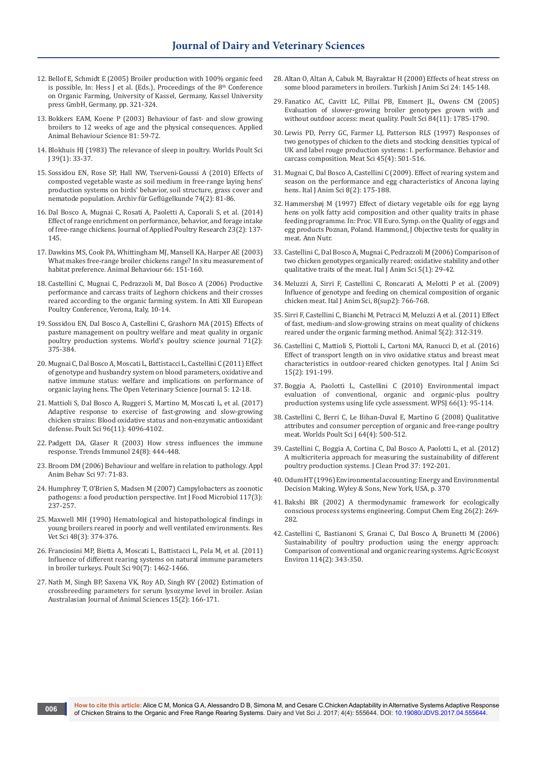- 12. Bellof E, Schmidt E (2005) Broiler production with 100% organic feed is possible, In: Hess J et al. (Eds.), Proceedings of the  $8<sup>th</sup>$  Conference on Organic Farming, University of Kassel, Germany, Kassel University press GmbH, Germany, pp. 321-324.
- 13. Bokkers EAM, Koene P (2003) Behaviour of fast- and slow growing broilers to 12 weeks of age and the physical consequences. Applied Animal Behaviour Science 81: 59-72.
- 14. [Blokhuis HJ \(1983\) The relevance of sleep in poultry. Worlds Poult Sci](https://www.cambridge.org/core/journals/world-s-poultry-science-journal/article/the-relevance-of-sleep-in-poultry/05904DBD1A5873512A218C977926CDE8)  [J 39\(1\): 33-37.](https://www.cambridge.org/core/journals/world-s-poultry-science-journal/article/the-relevance-of-sleep-in-poultry/05904DBD1A5873512A218C977926CDE8)
- 15. [Sossidou EN, Rose SP, Hall NW, Tserveni-Goussi A \(2010\) Effects of](https://www.cabdirect.org/cabdirect/abstract/20103153903)  [composted vegetable waste as soil medium in free-range laying hens'](https://www.cabdirect.org/cabdirect/abstract/20103153903)  [production systems on birds' behavior, soil structure, grass cover and](https://www.cabdirect.org/cabdirect/abstract/20103153903)  nematode population. Archiv für Geflügelkunde 74(2): 81-86.
- 16. [Dal Bosco A, Mugnai C, Rosati A, Paoletti A, Caporali S, et al. \(2014\)](https://academic.oup.com/japr/article/23/2/137/758596/Effect-of-range-enrichment-on-performance-behavior)  [Effect of range enrichment on performance, behavior, and forage intake](https://academic.oup.com/japr/article/23/2/137/758596/Effect-of-range-enrichment-on-performance-behavior)  of free-range chickens. [Journal of Applied Poultry Research 23\(2\): 137-](https://academic.oup.com/japr/article/23/2/137/758596/Effect-of-range-enrichment-on-performance-behavior) [145.](https://academic.oup.com/japr/article/23/2/137/758596/Effect-of-range-enrichment-on-performance-behavior)
- 17. Dawkins MS, Cook PA, Whittingham MJ, Mansell KA, Harper AE (2003) What makes free-range broiler chickens range? In situ measurement of habitat preference. Animal Behaviour 66: 151-160.
- 18. [Castellini C, Mugnai C, Pedrazzoli M, Dal Bosco A \(2006\) Productive](http://citeseerx.ist.psu.edu/viewdoc/download?doi=10.1.1.553.4331&rep=rep1&type=pdf)  [performance and carcass traits of Leghorn chickens and their crosses](http://citeseerx.ist.psu.edu/viewdoc/download?doi=10.1.1.553.4331&rep=rep1&type=pdf)  [reared according to the organic farming system. In Atti XII European](http://citeseerx.ist.psu.edu/viewdoc/download?doi=10.1.1.553.4331&rep=rep1&type=pdf)  [Poultry Conference, Verona, Italy,](http://citeseerx.ist.psu.edu/viewdoc/download?doi=10.1.1.553.4331&rep=rep1&type=pdf) 10-14.
- 19. Sossidou EN, Dal Bosco A, Castellini C, Grashorn MA (2015) Effects of pasture management on poultry welfare and meat quality in organic poultry production systems. World's poultry science journal 71(2): 375-384.
- 20. [Mugnai C, Dal Bosco A, Moscati L, Battistacci L, Castellini C \(2011\) Effect](https://benthamopen.com/ABSTRACT/TOVSJ-5-12)  [of genotype and husbandry system on blood parameters, oxidative and](https://benthamopen.com/ABSTRACT/TOVSJ-5-12)  [native immune status: welfare and implications on performance of](https://benthamopen.com/ABSTRACT/TOVSJ-5-12)  [organic laying hens. The Open Veterinary Science Journal 5: 12-18.](https://benthamopen.com/ABSTRACT/TOVSJ-5-12)
- 21. [Mattioli S, Dal Bosco A, Ruggeri S, Martino M, Moscati L, et al. \(2017\)](https://www.ncbi.nlm.nih.gov/pubmed/29050412)  [Adaptive response to exercise of fast-growing and slow-growing](https://www.ncbi.nlm.nih.gov/pubmed/29050412)  [chicken strains: Blood oxidative status and non-enzymatic antioxidant](https://www.ncbi.nlm.nih.gov/pubmed/29050412)  [defense. Poult Sci 96\(11\): 4096-4102.](https://www.ncbi.nlm.nih.gov/pubmed/29050412)
- 22. Padgett DA, Glaser R (2003) How stress [influences](https://www.ncbi.nlm.nih.gov/pubmed/12909458) the immune [response. Trends Immunol 24\(8\): 444-448.](https://www.ncbi.nlm.nih.gov/pubmed/12909458)
- 23. [Broom DM \(2006\) Behaviour and welfare in relation to pathology. Appl](http://agris.fao.org/agris-search/search.do?recordID=US201301073470)  [Anim Behav Sci 97: 71-83.](http://agris.fao.org/agris-search/search.do?recordID=US201301073470)
- 24. [Humphrey T, O'Brien S, Madsen M \(2007\) Campylobacters as zoonotic](https://www.ncbi.nlm.nih.gov/pubmed/17368847)  [pathogens: a food production perspective. Int J Food Microbiol 117\(3\):](https://www.ncbi.nlm.nih.gov/pubmed/17368847)  [237-257.](https://www.ncbi.nlm.nih.gov/pubmed/17368847)
- 25. Maxwell MH (1990) Hematological and [histopathological](http://europepmc.org/abstract/med/2359886) findings in [young broilers reared in poorly and well ventilated environments. Res](http://europepmc.org/abstract/med/2359886)  [Vet Sci 48\(3\): 374-376.](http://europepmc.org/abstract/med/2359886)
- 26. [Franciosini MP, Bietta A, Moscati L, Battistacci L, Pela M, et al. \(2011\)](https://www.ncbi.nlm.nih.gov/pubmed/21673161)  Influence of different rearing systems on natural immune parameters [in broiler turkeys. Poult Sci 90\(7\): 1462-1466.](https://www.ncbi.nlm.nih.gov/pubmed/21673161)
- 27. [Nath M, Singh BP, Saxena VK, Roy AD, Singh RV \(2002\) Estimation of](https://www.ajas.info/journal/view.php?number=20087)  [crossbreeding parameters for serum lysozyme level in broiler. Asian](https://www.ajas.info/journal/view.php?number=20087)  [Australasian Journal of Animal Sciences 15\(2\): 166-171.](https://www.ajas.info/journal/view.php?number=20087)
- 28. [Altan O, Altan A, Cabuk M, Bayraktar H \(2000\) Effects of heat stress on](http://journals.tubitak.gov.tr/veterinary/issues/vet-00-24-2/vet-24-2-8-9904-4.pdf)  [some blood parameters in broilers. Turkish J Anim Sci 24: 145-148.](http://journals.tubitak.gov.tr/veterinary/issues/vet-00-24-2/vet-24-2-8-9904-4.pdf)
- 29. [Fanatico AC, Cavitt LC, Pillai PB, Emmert JL, Owens CM \(2005\)](https://www.ncbi.nlm.nih.gov/pubmed/16463978)  [Evaluation of slower-growing broiler genotypes grown with and](https://www.ncbi.nlm.nih.gov/pubmed/16463978)  [without outdoor access: meat quality. Poult Sci 84\(11\): 1785-1790.](https://www.ncbi.nlm.nih.gov/pubmed/16463978)
- 30. [Lewis PD, Perry GC, Farmer LJ, Patterson RLS \(1997\) Responses of](https://www.ncbi.nlm.nih.gov/pubmed/22061673)  [two genotypes of chicken to the diets and stocking densities typical of](https://www.ncbi.nlm.nih.gov/pubmed/22061673)  [UK and label rouge production systems: I. performance. Behavior and](https://www.ncbi.nlm.nih.gov/pubmed/22061673)  [carcass composition. Meat Sci 45\(4\): 501-516.](https://www.ncbi.nlm.nih.gov/pubmed/22061673)
- 31. [Mugnai C, Dal Bosco A, Castellini C \(2009\). Effect of rearing system and](http://www.tandfonline.com/doi/abs/10.4081/ijas.2009.175)  [season on the performance and egg characteristics of Ancona laying](http://www.tandfonline.com/doi/abs/10.4081/ijas.2009.175)  [hens. Ital J Anim Sci 8\(2\): 175-188.](http://www.tandfonline.com/doi/abs/10.4081/ijas.2009.175)
- 32. Hammershøj M (1997) Effect of dietary vegetable oils for egg layng hens on yolk fatty acid composition and other quality traits in phase feeding programme. In: Proc. VII Euro. Symp. on the Quality of eggs and egg products Poznan, Poland. Hammond, J Objective tests for quality in meat. Ann Nutr.
- 33. [Castellini C, Dal Bosco A, Mugnai C, Pedrazzoli M \(2006\) Comparison of](http://www.tandfonline.com/doi/abs/10.4081/ijas.2006.29)  [two chicken genotypes organically reared: oxidative stability and other](http://www.tandfonline.com/doi/abs/10.4081/ijas.2006.29)  [qualitative traits of the meat. Ital J Anim Sci 5\(1\): 29-42.](http://www.tandfonline.com/doi/abs/10.4081/ijas.2006.29)
- 34. [Meluzzi A, Sirri F, Castellini C, Roncarati A, Melotti P et al. \(2009\)](http://www.tandfonline.com/doi/abs/10.4081/ijas.2009.s2.766)  Influence of genotype and feeding on chemical composition of organic [chicken meat. Ital J Anim Sci, 8\(sup2\): 766-768.](http://www.tandfonline.com/doi/abs/10.4081/ijas.2009.s2.766)
- 35. [Sirri F, Castellini C, Bianchi M, Petracci M, Meluzzi A et al. \(2011\) Effect](https://www.ncbi.nlm.nih.gov/pubmed/22440776)  [of fast, medium-and slow-growing strains on meat quality of chickens](https://www.ncbi.nlm.nih.gov/pubmed/22440776)  [reared under the organic farming method. Animal 5\(2\): 312-319.](https://www.ncbi.nlm.nih.gov/pubmed/22440776)
- 36. [Castellini C, Mattioli S, Piottoli L, Cartoni MA, Ranucci D, et al. \(2016\)](http://www.tandfonline.com/doi/abs/10.1080/1828051X.2016.1174082)  [Effect of transport length on in vivo oxidative status and breast meat](http://www.tandfonline.com/doi/abs/10.1080/1828051X.2016.1174082)  [characteristics in outdoor-reared chicken genotypes. Ital J Anim Sci](http://www.tandfonline.com/doi/abs/10.1080/1828051X.2016.1174082)  [15\(2\): 191-199.](http://www.tandfonline.com/doi/abs/10.1080/1828051X.2016.1174082)
- 37. [Boggia A, Paolotti L, Castellini C \(2010\) Environmental impact](http://agris.fao.org/agris-search/search.do?recordID=US201301821481)  [evaluation of conventional, organic and organic-plus poultry](http://agris.fao.org/agris-search/search.do?recordID=US201301821481)  [production systems using life cycle assessment. WPSJ 66\(1\): 95-114.](http://agris.fao.org/agris-search/search.do?recordID=US201301821481)
- 38. Castellini C, Berri C, Le Bihan-Duval E, Martino G (2008) Qualitative attributes and consumer perception of organic and free-range poultry meat. Worlds Poult Sci J 64(4): 500-512.
- 39. Castellini C, Boggia A, Cortina C, Dal Bosco A, Paolotti L, et al. (2012) A multicriteria approach for measuring the sustainability of different poultry production systems. J Clean Prod 37: 192-201.
- 40. Odum HT (1996) Environmental accounting: Energy and Environmental Decision Making. Wyley & Sons, New York, USA, p. 370
- 41. Bakshi BR (2002) A thermodynamic framework for ecologically conscious process systems engineering. Comput Chem Eng 26(2): 269- 282.
- 42. Castellini C, Bastianoni S, Granai C, Dal Bosco A, Brunetti M (2006) Sustainability of poultry production using the energy approach: Comparison of conventional and organic rearing systems. Agric Ecosyst Environ 114(2): 343-350.